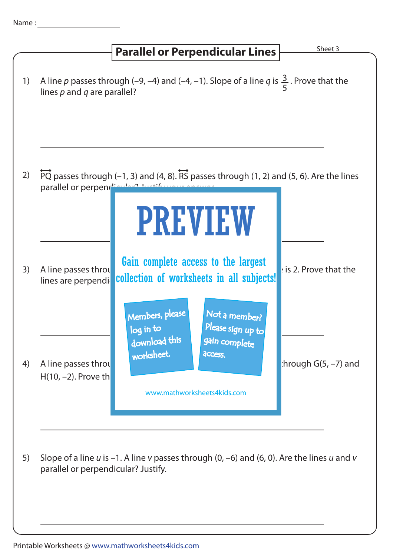